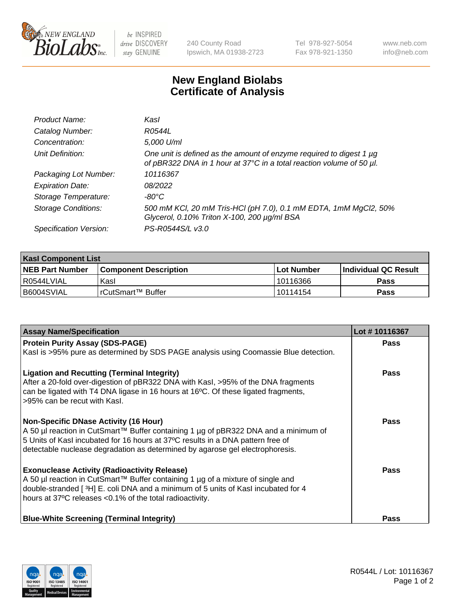

 $be$  INSPIRED drive DISCOVERY stay GENUINE

240 County Road Ipswich, MA 01938-2723 Tel 978-927-5054 Fax 978-921-1350 www.neb.com info@neb.com

## **New England Biolabs Certificate of Analysis**

| Product Name:              | Kasl                                                                                                                                        |
|----------------------------|---------------------------------------------------------------------------------------------------------------------------------------------|
| Catalog Number:            | R0544L                                                                                                                                      |
| Concentration:             | 5,000 U/ml                                                                                                                                  |
| Unit Definition:           | One unit is defined as the amount of enzyme required to digest 1 µg<br>of pBR322 DNA in 1 hour at 37°C in a total reaction volume of 50 µl. |
| Packaging Lot Number:      | 10116367                                                                                                                                    |
| <b>Expiration Date:</b>    | 08/2022                                                                                                                                     |
| Storage Temperature:       | -80°C                                                                                                                                       |
| <b>Storage Conditions:</b> | 500 mM KCl, 20 mM Tris-HCl (pH 7.0), 0.1 mM EDTA, 1mM MgCl2, 50%<br>Glycerol, 0.10% Triton X-100, 200 µg/ml BSA                             |
| Specification Version:     | PS-R0544S/L v3.0                                                                                                                            |

| <b>Kasl Component List</b> |                         |              |                             |  |  |
|----------------------------|-------------------------|--------------|-----------------------------|--|--|
| <b>NEB Part Number</b>     | l Component Description | l Lot Number | <b>Individual QC Result</b> |  |  |
| I R0544LVIAL               | Kasl                    | 10116366     | Pass                        |  |  |
| B6004SVIAL                 | l rCutSmart™ Buffer_    | l 10114154   | Pass                        |  |  |

| <b>Assay Name/Specification</b>                                                                                                                                                                                                                                                                         | Lot #10116367 |
|---------------------------------------------------------------------------------------------------------------------------------------------------------------------------------------------------------------------------------------------------------------------------------------------------------|---------------|
| <b>Protein Purity Assay (SDS-PAGE)</b>                                                                                                                                                                                                                                                                  | <b>Pass</b>   |
| Kasl is >95% pure as determined by SDS PAGE analysis using Coomassie Blue detection.                                                                                                                                                                                                                    |               |
| <b>Ligation and Recutting (Terminal Integrity)</b><br>After a 20-fold over-digestion of pBR322 DNA with Kasl, >95% of the DNA fragments<br>can be ligated with T4 DNA ligase in 16 hours at 16°C. Of these ligated fragments,<br>>95% can be recut with Kasl.                                           | Pass          |
| <b>Non-Specific DNase Activity (16 Hour)</b><br>A 50 µl reaction in CutSmart™ Buffer containing 1 µg of pBR322 DNA and a minimum of<br>5 Units of Kasl incubated for 16 hours at 37°C results in a DNA pattern free of<br>detectable nuclease degradation as determined by agarose gel electrophoresis. | Pass          |
| <b>Exonuclease Activity (Radioactivity Release)</b><br>A 50 µl reaction in CutSmart™ Buffer containing 1 µg of a mixture of single and<br>double-stranded [3H] E. coli DNA and a minimum of 5 units of Kasl incubated for 4<br>hours at 37°C releases <0.1% of the total radioactivity.                 | Pass          |
| <b>Blue-White Screening (Terminal Integrity)</b>                                                                                                                                                                                                                                                        | Pass          |